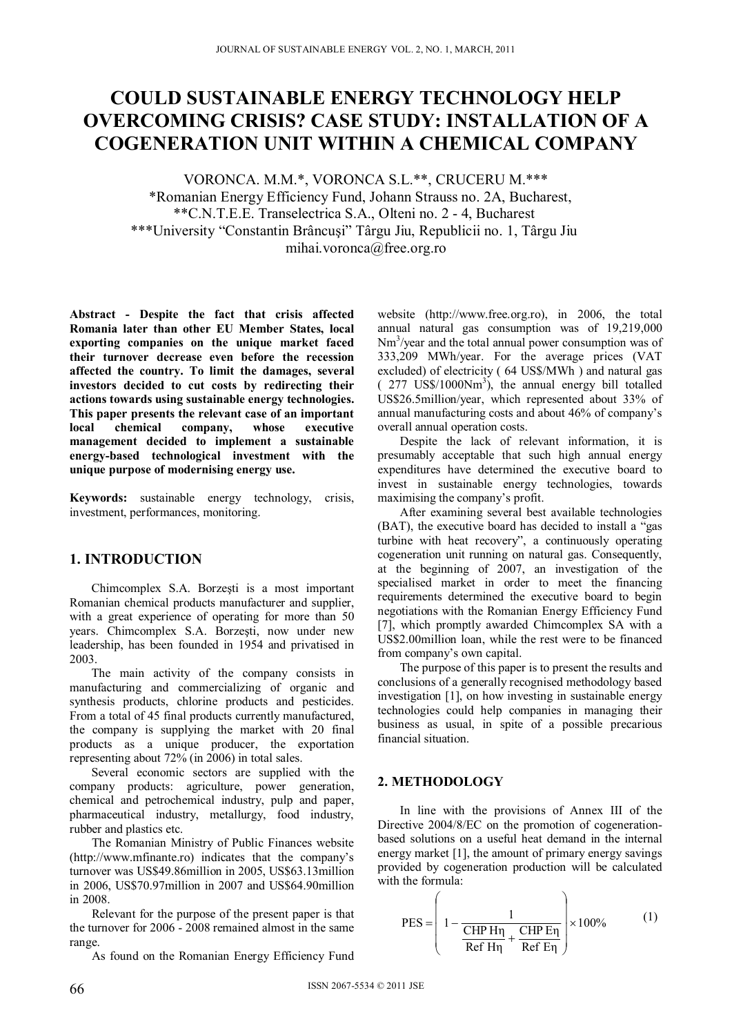# **COULD SUSTAINABLE ENERGY TECHNOLOGY HELP OVERCOMING CRISIS? CASE STUDY: INSTALLATION OF A COGENERATION UNIT WITHIN A CHEMICAL COMPANY**

VORONCA. M.M.\*, VORONCA S.L.\*\*, CRUCERU M.\*\*\* \*Romanian Energy Efficiency Fund, Johann Strauss no. 2A, Bucharest, \*\*C.N.T.E.E. Transelectrica S.A., Olteni no. 2 - 4, Bucharest \*\*\*University "Constantin Brâncuşi" Târgu Jiu, Republicii no. 1, Târgu Jiu mihai.voronca@free.org.ro

**Abstract - Despite the fact that crisis affected Romania later than other EU Member States, local exporting companies on the unique market faced their turnover decrease even before the recession affected the country. To limit the damages, several investors decided to cut costs by redirecting their actions towards using sustainable energy technologies. This paper presents the relevant case of an important local chemical company, whose executive management decided to implement a sustainable energy-based technological investment with the unique purpose of modernising energy use.** 

**Keywords:** sustainable energy technology, crisis, investment, performances, monitoring.

### **1. INTRODUCTION**

Chimcomplex S.A. Borzeşti is a most important Romanian chemical products manufacturer and supplier, with a great experience of operating for more than 50 years. Chimcomplex S.A. Borzeşti, now under new leadership, has been founded in 1954 and privatised in 2003.

The main activity of the company consists in manufacturing and commercializing of organic and synthesis products, chlorine products and pesticides. From a total of 45 final products currently manufactured, the company is supplying the market with 20 final products as a unique producer, the exportation representing about 72% (in 2006) in total sales.

Several economic sectors are supplied with the company products: agriculture, power generation, chemical and petrochemical industry, pulp and paper, pharmaceutical industry, metallurgy, food industry, rubber and plastics etc.

The Romanian Ministry of Public Finances website (http://www.mfinante.ro) indicates that the company's turnover was US\$49.86million in 2005, US\$63.13million in 2006, US\$70.97million in 2007 and US\$64.90million in 2008.

Relevant for the purpose of the present paper is that the turnover for 2006 - 2008 remained almost in the same range.

As found on the Romanian Energy Efficiency Fund

website (http://www.free.org.ro), in 2006, the total annual natural gas consumption was of 19,219,000 Nm<sup>3</sup>/year and the total annual power consumption was of 333,209 MWh/year. For the average prices (VAT excluded) of electricity ( 64 US\$/MWh ) and natural gas  $(277 \text{ US$M1000Nm}^3)$ , the annual energy bill totalled US\$26.5million/year, which represented about 33% of annual manufacturing costs and about 46% of company's overall annual operation costs.

Despite the lack of relevant information, it is presumably acceptable that such high annual energy expenditures have determined the executive board to invest in sustainable energy technologies, towards maximising the company's profit.

After examining several best available technologies (BAT), the executive board has decided to install a "gas turbine with heat recovery", a continuously operating cogeneration unit running on natural gas. Consequently, at the beginning of 2007, an investigation of the specialised market in order to meet the financing requirements determined the executive board to begin negotiations with the Romanian Energy Efficiency Fund [7], which promptly awarded Chimcomplex SA with a US\$2.00million loan, while the rest were to be financed from company's own capital.

The purpose of this paper is to present the results and conclusions of a generally recognised methodology based investigation [1], on how investing in sustainable energy technologies could help companies in managing their business as usual, in spite of a possible precarious financial situation.

### **2. METHODOLOGY**

In line with the provisions of Annex III of the Directive 2004/8/EC on the promotion of cogenerationbased solutions on a useful heat demand in the internal energy market [1], the amount of primary energy savings provided by cogeneration production will be calculated with the formula:

$$
PES = \left(1 - \frac{1}{\frac{\text{CHP H}\eta}{\text{Ref H}\eta} + \frac{\text{CHP E}\eta}{\text{Ref E}\eta}}\right) \times 100\%
$$
 (1)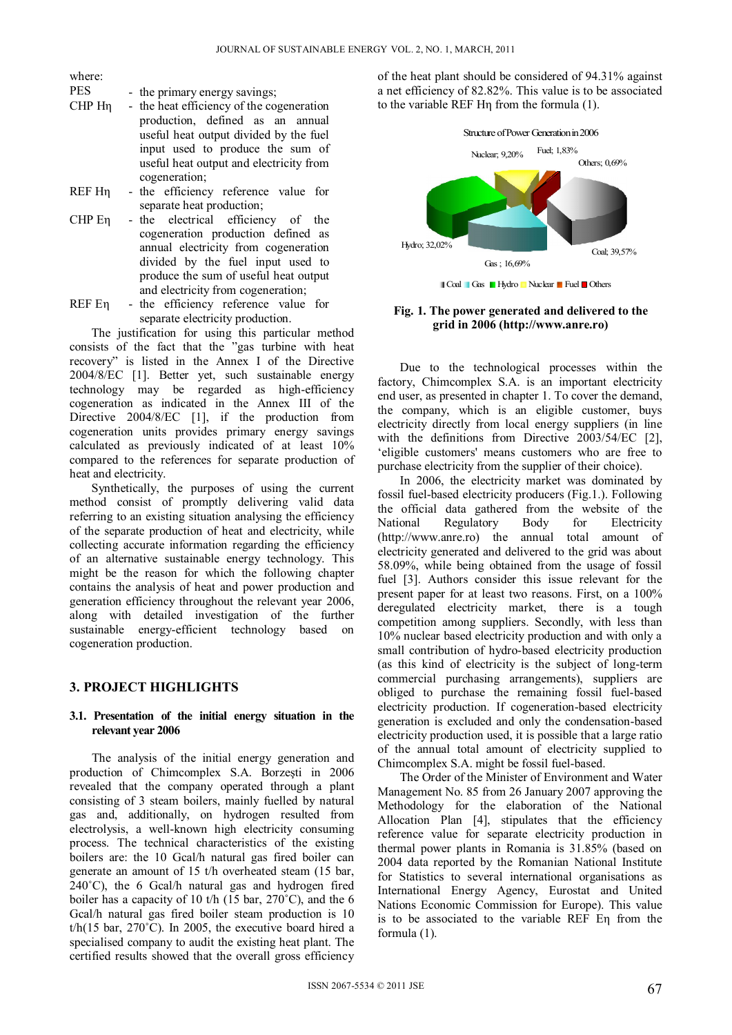where:

- PES the primary energy savings:
- CHP Hη the heat efficiency of the cogeneration production, defined as an annual useful heat output divided by the fuel input used to produce the sum of useful heat output and electricity from cogeneration;
- REF Hη the efficiency reference value for separate heat production;
- CHP Eη the electrical efficiency of the cogeneration production defined as annual electricity from cogeneration divided by the fuel input used to produce the sum of useful heat output and electricity from cogeneration;
- REF Eη the efficiency reference value for separate electricity production.

The justification for using this particular method consists of the fact that the "gas turbine with heat recovery" is listed in the Annex I of the Directive 2004/8/EC [1]. Better yet, such sustainable energy technology may be regarded as high-efficiency cogeneration as indicated in the Annex III of the Directive 2004/8/EC [1], if the production from cogeneration units provides primary energy savings calculated as previously indicated of at least 10% compared to the references for separate production of heat and electricity.

Synthetically, the purposes of using the current method consist of promptly delivering valid data referring to an existing situation analysing the efficiency of the separate production of heat and electricity, while collecting accurate information regarding the efficiency of an alternative sustainable energy technology. This might be the reason for which the following chapter contains the analysis of heat and power production and generation efficiency throughout the relevant year 2006, along with detailed investigation of the further sustainable energy-efficient technology based on cogeneration production.

### **3. PROJECT HIGHLIGHTS**

### **3.1. Presentation of the initial energy situation in the relevant year 2006**

The analysis of the initial energy generation and production of Chimcomplex S.A. Borzeşti in 2006 revealed that the company operated through a plant consisting of 3 steam boilers, mainly fuelled by natural gas and, additionally, on hydrogen resulted from electrolysis, a well-known high electricity consuming process. The technical characteristics of the existing boilers are: the 10 Gcal/h natural gas fired boiler can generate an amount of 15 t/h overheated steam (15 bar, 240˚C), the 6 Gcal/h natural gas and hydrogen fired boiler has a capacity of 10 t/h (15 bar, 270˚C), and the 6 Gcal/h natural gas fired boiler steam production is 10  $t/h(15 \text{ bar}, 270^{\circ} \text{C})$ . In 2005, the executive board hired a specialised company to audit the existing heat plant. The certified results showed that the overall gross efficiency of the heat plant should be considered of 94.31% against a net efficiency of 82.82%. This value is to be associated to the variable REF Hη from the formula (1).



**Fig. 1. The power generated and delivered to the grid in 2006 (http://www.anre.ro)** 

Due to the technological processes within the factory, Chimcomplex S.A. is an important electricity end user, as presented in chapter 1. To cover the demand, the company, which is an eligible customer, buys electricity directly from local energy suppliers (in line with the definitions from Directive 2003/54/EC [2], 'eligible customers' means customers who are free to purchase electricity from the supplier of their choice).

In 2006, the electricity market was dominated by fossil fuel-based electricity producers (Fig.1.). Following the official data gathered from the website of the National Regulatory Body for Electricity (http://www.anre.ro) the annual total amount of electricity generated and delivered to the grid was about 58.09%, while being obtained from the usage of fossil fuel [3]. Authors consider this issue relevant for the present paper for at least two reasons. First, on a 100% deregulated electricity market, there is a tough competition among suppliers. Secondly, with less than 10% nuclear based electricity production and with only a small contribution of hydro-based electricity production (as this kind of electricity is the subject of long-term commercial purchasing arrangements), suppliers are obliged to purchase the remaining fossil fuel-based electricity production. If cogeneration-based electricity generation is excluded and only the condensation-based electricity production used, it is possible that a large ratio of the annual total amount of electricity supplied to Chimcomplex S.A. might be fossil fuel-based.

The Order of the Minister of Environment and Water Management No. 85 from 26 January 2007 approving the Methodology for the elaboration of the National Allocation Plan [4], stipulates that the efficiency reference value for separate electricity production in thermal power plants in Romania is 31.85% (based on 2004 data reported by the Romanian National Institute for Statistics to several international organisations as International Energy Agency, Eurostat and United Nations Economic Commission for Europe). This value is to be associated to the variable REF Eη from the formula (1).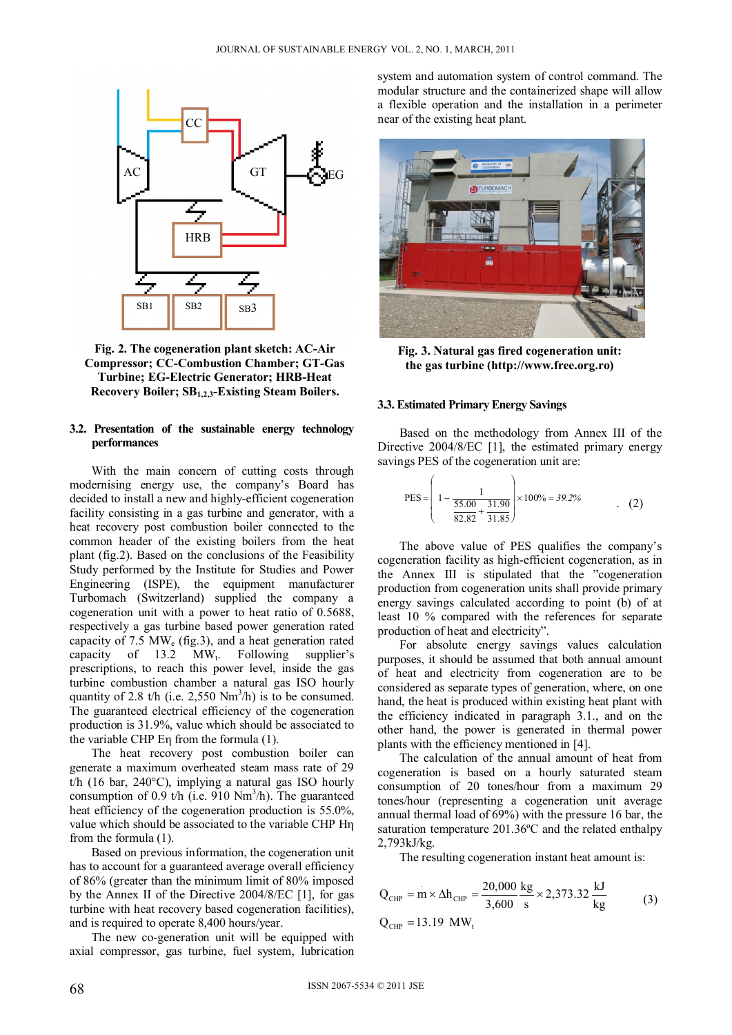

**Fig. 2. The cogeneration plant sketch: AC-Air Compressor; CC-Combustion Chamber; GT-Gas Turbine; EG-Electric Generator; HRB-Heat Recovery Boiler; SB1,2,3-Existing Steam Boilers.** 

### **3.2. Presentation of the sustainable energy technology performances**

With the main concern of cutting costs through modernising energy use, the company's Board has decided to install a new and highly-efficient cogeneration facility consisting in a gas turbine and generator, with a heat recovery post combustion boiler connected to the common header of the existing boilers from the heat plant (fig.2). Based on the conclusions of the Feasibility Study performed by the Institute for Studies and Power Engineering (ISPE), the equipment manufacturer Turbomach (Switzerland) supplied the company a cogeneration unit with a power to heat ratio of 0.5688, respectively a gas turbine based power generation rated capacity of 7.5  $MW_e$  (fig.3), and a heat generation rated capacity of  $13.2$  MW<sub>t</sub>. Following supplier's prescriptions, to reach this power level, inside the gas turbine combustion chamber a natural gas ISO hourly quantity of 2.8 t/h (i.e. 2,550  $Nm^3/h$ ) is to be consumed. The guaranteed electrical efficiency of the cogeneration production is 31.9%, value which should be associated to the variable CHP Eη from the formula (1).

The heat recovery post combustion boiler can generate a maximum overheated steam mass rate of 29 t/h (16 bar, 240°C), implying a natural gas ISO hourly consumption of 0.9 t/h (i.e.  $910 \text{ Nm}^3$ /h). The guaranteed heat efficiency of the cogeneration production is 55.0%, value which should be associated to the variable CHP Hη from the formula (1).

Based on previous information, the cogeneration unit has to account for a guaranteed average overall efficiency of 86% (greater than the minimum limit of 80% imposed by the Annex II of the Directive 2004/8/EC [1], for gas turbine with heat recovery based cogeneration facilities), and is required to operate 8,400 hours/year.

The new co-generation unit will be equipped with axial compressor, gas turbine, fuel system, lubrication system and automation system of control command. The modular structure and the containerized shape will allow a flexible operation and the installation in a perimeter near of the existing heat plant.



**Fig. 3. Natural gas fired cogeneration unit: the gas turbine (http://www.free.org.ro)** 

#### **3.3. Estimated Primary Energy Savings**

Based on the methodology from Annex III of the Directive 2004/8/EC [1], the estimated primary energy savings PES of the cogeneration unit are:

$$
PES = \left(1 - \frac{1}{\frac{55.00}{82.82} + \frac{31.90}{31.85}}\right) \times 100\% = 39.2\%
$$
 (2)

The above value of PES qualifies the company's cogeneration facility as high-efficient cogeneration, as in the Annex III is stipulated that the "cogeneration production from cogeneration units shall provide primary energy savings calculated according to point (b) of at least 10 % compared with the references for separate production of heat and electricity".

For absolute energy savings values calculation purposes, it should be assumed that both annual amount of heat and electricity from cogeneration are to be considered as separate types of generation, where, on one hand, the heat is produced within existing heat plant with the efficiency indicated in paragraph 3.1., and on the other hand, the power is generated in thermal power plants with the efficiency mentioned in [4].

The calculation of the annual amount of heat from cogeneration is based on a hourly saturated steam consumption of 20 tones/hour from a maximum 29 tones/hour (representing a cogeneration unit average annual thermal load of 69%) with the pressure 16 bar, the saturation temperature 201.36ºC and the related enthalpy 2,793kJ/kg.

The resulting cogeneration instant heat amount is:

$$
Q_{CHP} = m \times \Delta h_{CHP} = \frac{20,000 \text{ kg}}{3,600 \text{ s}} \times 2,373.32 \frac{\text{kJ}}{\text{kg}}
$$
 (3)  
Q<sub>CHP</sub> = 13.19 MW<sub>t</sub>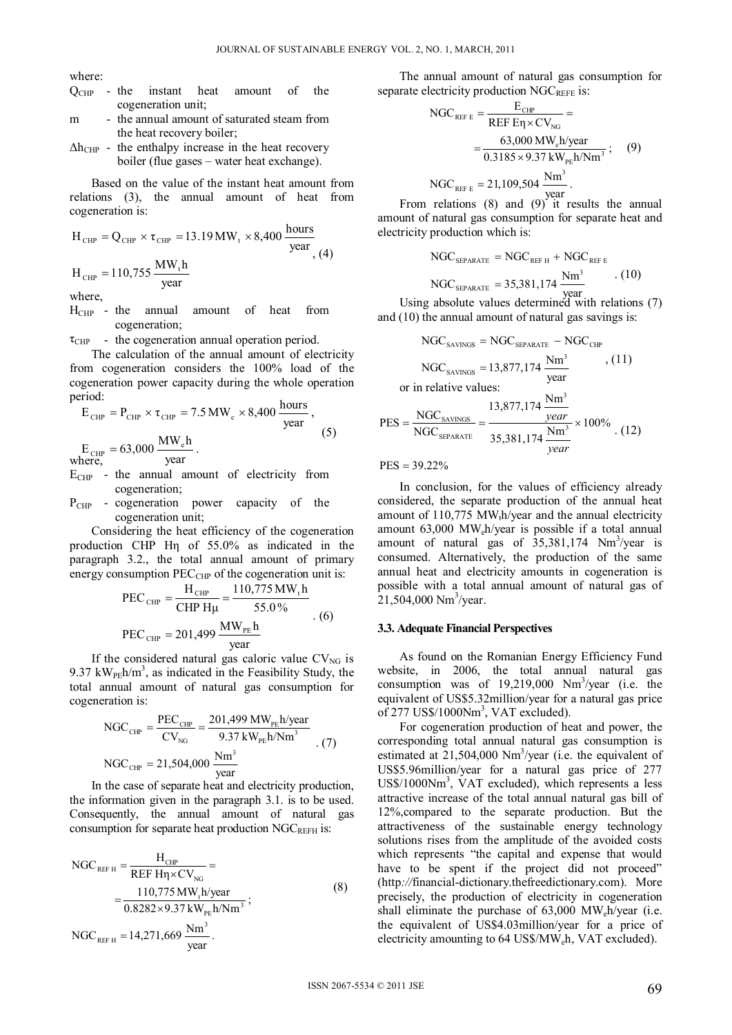where:

- Q<sub>CHP</sub> the instant heat amount of the cogeneration unit;
- m the annual amount of saturated steam from the heat recovery boiler;
- $\Delta h_{CHP}$  the enthalpy increase in the heat recovery boiler (flue gases – water heat exchange).

Based on the value of the instant heat amount from relations (3), the annual amount of heat from cogeneration is:

$$
HCHP = QCHP × τCHP = 13.19 MWt × 8,400 \frac{hours}{year}
$$
  
H<sub>CHP</sub> = 110,755  $\frac{MWt h}{year}$ 

where,

- $H_{CHP}$  the annual amount of heat from cogeneration;
- $\tau_{CHP}$  the cogeneration annual operation period.

The calculation of the annual amount of electricity from cogeneration considers the 100% load of the cogeneration power capacity during the whole operation period:

$$
E_{\text{CHP}} = P_{\text{CHP}} \times \tau_{\text{CHP}} = 7.5 \text{ MW}_{\text{e}} \times 8,400 \frac{\text{hours}}{\text{year}},
$$
  

$$
E_{\text{CHP}} = 63,000 \frac{\text{MW}_{\text{e}}\text{h}}{\text{year}}.
$$
 (5)

where, . year

- $E_{CHP}$  the annual amount of electricity from cogeneration;
- P<sub>CHP</sub> cogeneration power capacity of the cogeneration unit;

Considering the heat efficiency of the cogeneration production CHP Hη of 55.0% as indicated in the paragraph 3.2., the total annual amount of primary energy consumption  $PEC_{CHP}$  of the cogeneration unit is:

$$
PEC_{\text{CHP}} = \frac{H_{\text{CHP}}}{CHP H\mu} = \frac{110,775 \text{ MW}_{\text{t}}\text{h}}{55.0\%}
$$
  
PEC<sub>CHP</sub> = 201,499  $\frac{\text{MW}_{\text{PE}}\text{h}}{\text{year}}$  (6)

If the considered natural gas caloric value  $CV_{NG}$  is 9.37 kW<sub>PE</sub>h/m<sup>3</sup>, as indicated in the Feasibility Study, the total annual amount of natural gas consumption for cogeneration is:

NGC<sub>CHP</sub> = 
$$
\frac{\text{PEC}_{\text{CHP}}}{\text{CV}_{\text{NG}}} = \frac{201,499 \text{ MW}_{\text{PE}} \text{h/year}}{9.37 \text{ kW}_{\text{PE}} \text{h/Nm}^3}
$$
 (7)  
NGC<sub>CHP</sub> = 21,504,000  $\frac{\text{Nm}^3}{\text{year}}$ 

In the case of separate heat and electricity production, the information given in the paragraph 3.1. is to be used. Consequently, the annual amount of natural gas consumption for separate heat production  $NGC_{REFH}$  is:

NGC<sub>REF H</sub> = 
$$
\frac{H_{CHP}}{REF H\eta \times CV_{NG}} =
$$
  
=  $\frac{110,775 MW_{t}h/year}{0.8282 \times 9.37 kW_{PE}h/Nm^{3}};$  (8)  
NGC<sub>REF H</sub> = 14,271,669  $\frac{Nm^{3}}{year}.$ 

The annual amount of natural gas consumption for separate electricity production NGCREFE is:

NGC<sub>REF E</sub> = 
$$
\frac{E_{CHP}}{REF E\eta \times CV_{NG}} =
$$
  
=  $\frac{63,000 \text{ MW}_{e} \text{h/year}}{0.3185 \times 9.37 \text{ kW}_{PE} \text{h/Nm}^3}$ ; (9)  
NGC<sub>REF E</sub> = 21,109,504  $\frac{\text{Nm}^3}{\text{year}}$ .

From relations  $(8)$  and  $(9)$  it results the annual amount of natural gas consumption for separate heat and electricity production which is:

$$
NGC_{SEPARATE} = NGC_{REF H} + NGC_{REF E}
$$

$$
NGC_{SEPARATE} = 35,381,174 \frac{Nm^3}{year} . (10)
$$

Using absolute values determined with relations (7) year and (10) the annual amount of natural gas savings is:

NGC<sub>SAVINGS</sub> = NGC<sub>SEPARATE</sub> - NGC<sub>CHP</sub>  
NGC<sub>SAVINGS</sub> = 13,877,174 
$$
\frac{Nm^3}{year}
$$
, (11)  
or in relative values:  
PES =  $\frac{NGC_{SAVINGS}}{NGC_{SEPARATE}} = \frac{13,877,174 \frac{Nm^3}{year}}{35,381,174 \frac{Nm^3}{year}} \times 100\%$  (12)

 $\text{PES} = 39.22\%$ 

In conclusion, for the values of efficiency already considered, the separate production of the annual heat amount of  $110,775$  MW<sub>t</sub>h/year and the annual electricity amount 63,000 MWeh/year is possible if a total annual amount of natural gas of  $35,381,174$  Nm<sup>3</sup>/year is consumed. Alternatively, the production of the same annual heat and electricity amounts in cogeneration is possible with a total annual amount of natural gas of 21,504,000 Nm<sup>3</sup>/year.

#### **3.3. Adequate Financial Perspectives**

As found on the Romanian Energy Efficiency Fund website, in 2006, the total annual natural gas consumption was of  $19,219,000$  Nm<sup>3</sup>/year (i.e. the equivalent of US\$5.32million/year for a natural gas price of 277 US\$/1000Nm<sup>3</sup>, VAT excluded).

For cogeneration production of heat and power, the corresponding total annual natural gas consumption is estimated at 21,504,000 Nm<sup>3</sup>/year (i.e. the equivalent of US\$5.96million/year for a natural gas price of 277 US\$/1000Nm<sup>3</sup>, VAT excluded), which represents a less attractive increase of the total annual natural gas bill of 12%,compared to the separate production. But the attractiveness of the sustainable energy technology solutions rises from the amplitude of the avoided costs which represents "the capital and expense that would have to be spent if the project did not proceed" (http*://*financial-dictionary.thefreedictionary.com). More precisely, the production of electricity in cogeneration shall eliminate the purchase of  $63,000$  MW $h$ /year (i.e. the equivalent of US\$4.03million/year for a price of electricity amounting to 64 US\$/MWeh, VAT excluded).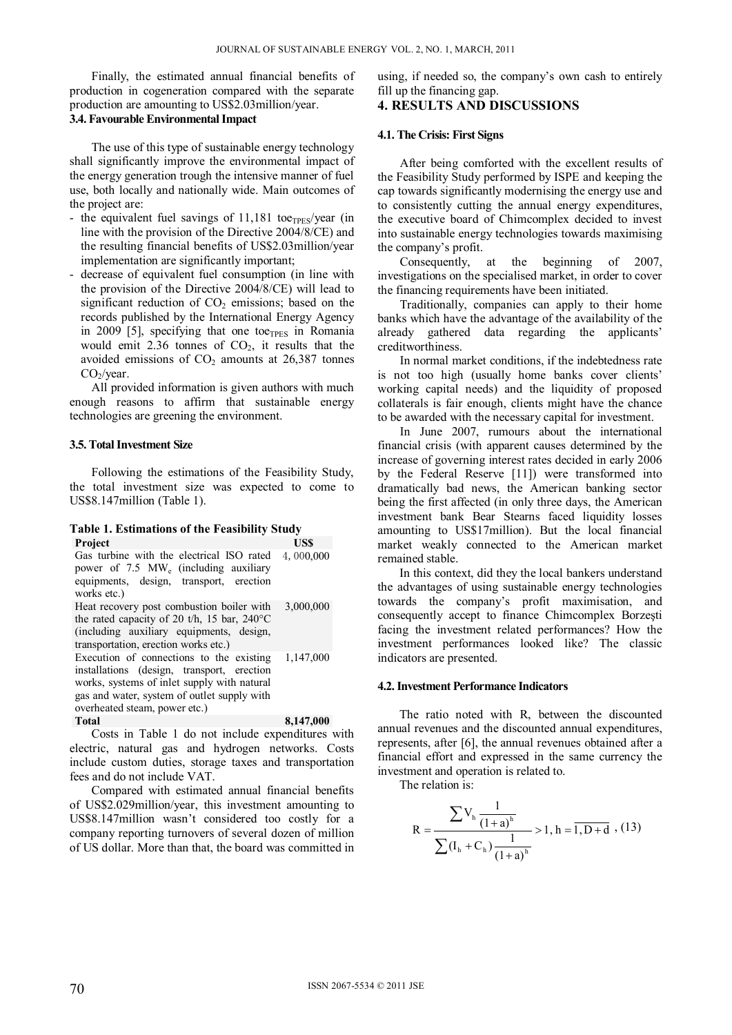Finally, the estimated annual financial benefits of production in cogeneration compared with the separate production are amounting to US\$2.03million/year. **3.4. Favourable Environmental Impact** 

The use of this type of sustainable energy technology shall significantly improve the environmental impact of the energy generation trough the intensive manner of fuel use, both locally and nationally wide. Main outcomes of the project are:

- the equivalent fuel savings of  $11,181$  toe<sub>TPES</sub>/year (in line with the provision of the Directive 2004/8/CE) and the resulting financial benefits of US\$2.03million/year implementation are significantly important;
- decrease of equivalent fuel consumption (in line with the provision of the Directive 2004/8/CE) will lead to significant reduction of  $CO<sub>2</sub>$  emissions; based on the records published by the International Energy Agency in 2009 [5], specifying that one to $e_{TPES}$  in Romania would emit  $2.36$  tonnes of  $CO<sub>2</sub>$ , it results that the avoided emissions of  $CO<sub>2</sub>$  amounts at 26,387 tonnes  $CO<sub>2</sub>/year.$

All provided information is given authors with much enough reasons to affirm that sustainable energy technologies are greening the environment.

#### **3.5. Total Investment Size**

Following the estimations of the Feasibility Study, the total investment size was expected to come to US\$8.147million (Table 1).

#### **Table 1. Estimations of the Feasibility Study Project**

| Gas turbine with the electrical ISO rated<br>power of $7.5$ MW <sub>e</sub> (including auxiliary<br>equipments, design, transport, erection<br>works etc.)                                                            | 4,000,000 |
|-----------------------------------------------------------------------------------------------------------------------------------------------------------------------------------------------------------------------|-----------|
| Heat recovery post combustion boiler with<br>the rated capacity of 20 t/h, 15 bar, $240^{\circ}$ C<br>(including auxiliary equipments, design,<br>transportation, erection works etc.)                                | 3,000,000 |
| Execution of connections to the existing<br>installations (design, transport, erection<br>works, systems of inlet supply with natural<br>gas and water, system of outlet supply with<br>overheated steam, power etc.) | 1,147,000 |
| <b>Total</b>                                                                                                                                                                                                          | 8,147,000 |

Costs in Table 1 do not include expenditures with electric, natural gas and hydrogen networks. Costs include custom duties, storage taxes and transportation fees and do not include VAT.

Compared with estimated annual financial benefits of US\$2.029million/year, this investment amounting to US\$8.147million wasn't considered too costly for a company reporting turnovers of several dozen of million of US dollar. More than that, the board was committed in using, if needed so, the company's own cash to entirely fill up the financing gap.

### **4. RESULTS AND DISCUSSIONS**

### **4.1. The Crisis: First Signs**

After being comforted with the excellent results of the Feasibility Study performed by ISPE and keeping the cap towards significantly modernising the energy use and to consistently cutting the annual energy expenditures, the executive board of Chimcomplex decided to invest into sustainable energy technologies towards maximising the company's profit.

Consequently, at the beginning of 2007, investigations on the specialised market, in order to cover the financing requirements have been initiated.

Traditionally, companies can apply to their home banks which have the advantage of the availability of the already gathered data regarding the applicants' creditworthiness.

In normal market conditions, if the indebtedness rate is not too high (usually home banks cover clients' working capital needs) and the liquidity of proposed collaterals is fair enough, clients might have the chance to be awarded with the necessary capital for investment.

In June 2007, rumours about the international financial crisis (with apparent causes determined by the increase of governing interest rates decided in early 2006 by the Federal Reserve [11]) were transformed into dramatically bad news, the American banking sector being the first affected (in only three days, the American investment bank Bear Stearns faced liquidity losses amounting to US\$17million). But the local financial market weakly connected to the American market remained stable.

In this context, did they the local bankers understand the advantages of using sustainable energy technologies towards the company's profit maximisation, and consequently accept to finance Chimcomplex Borzeşti facing the investment related performances? How the investment performances looked like? The classic indicators are presented.

#### **4.2. Investment Performance Indicators**

The ratio noted with R, between the discounted annual revenues and the discounted annual expenditures, represents, after [6], the annual revenues obtained after a financial effort and expressed in the same currency the investment and operation is related to.

The relation is:

$$
R = \frac{\sum V_h \frac{1}{(1+a)^h}}{\sum (I_h + C_h) \frac{1}{(1+a)^h}} > 1, h = \overline{1, D + d} \quad (13)
$$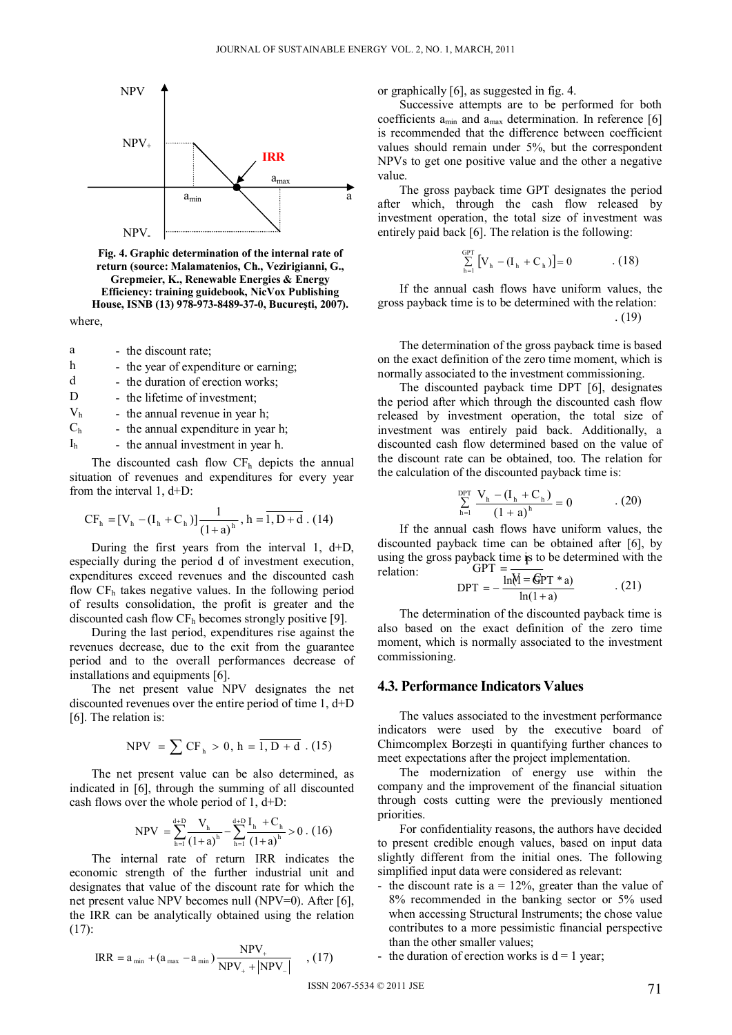

where, **Fig. 4. Graphic determination of the internal rate of return (source: Malamatenios, Ch., Vezirigianni, G., Grepmeier, K., Renewable Energies & Energy Efficiency: training guidebook, NicVox Publishing House, ISNB (13) 978-973-8489-37-0, Bucureşti, 2007).** 

- h the year of expenditure or earning; d - the duration of erection works; D - the lifetime of investment;
- $V<sub>h</sub>$  the annual revenue in year h;
- $C_h$  the annual expenditure in year h;
- $I<sub>h</sub>$  the annual investment in year h.

The discounted cash flow  $CF<sub>h</sub>$  depicts the annual situation of revenues and expenditures for every year from the interval 1, d+D:

$$
CF_{h} = [V_{h} - (I_{h} + C_{h})] \frac{1}{(1+a)^{h}}, h = \overline{1, D + d}. (14)
$$

During the first years from the interval 1, d+D, especially during the period d of investment execution, expenditures exceed revenues and the discounted cash flow  $CF<sub>h</sub>$  takes negative values. In the following period of results consolidation, the profit is greater and the discounted cash flow  $CF<sub>h</sub>$  becomes strongly positive [9].

During the last period, expenditures rise against the revenues decrease, due to the exit from the guarantee period and to the overall performances decrease of installations and equipments [6].

The net present value NPV designates the net discounted revenues over the entire period of time 1, d+D [6]. The relation is:

$$
NPV = \sum CF_h > 0, h = \overline{1, D + d} \ . (15)
$$

The net present value can be also determined, as indicated in [6], through the summing of all discounted cash flows over the whole period of 1, d+D:

$$
NPV \ = \sum_{h=1}^{d+D} \frac{V_h}{\left(1+a\right)^h} - \sum_{h=1}^{d+D} \frac{I_h \ + C_h}{\left(1+a\right)^h} > 0 \ . \ (16)
$$

The internal rate of return IRR indicates the economic strength of the further industrial unit and designates that value of the discount rate for which the net present value NPV becomes null (NPV=0). After [6], the IRR can be analytically obtained using the relation (17):

$$
IRR = a_{\min} + (a_{\max} - a_{\min}) \frac{NPV_{+}}{NPV_{+} + |NPV_{-}|} \quad , (17)
$$

or graphically [6], as suggested in fig. 4.

Successive attempts are to be performed for both coefficients  $a_{min}$  and  $a_{max}$  determination. In reference [6] is recommended that the difference between coefficient values should remain under 5%, but the correspondent NPVs to get one positive value and the other a negative value.

The gross payback time GPT designates the period after which, through the cash flow released by investment operation, the total size of investment was entirely paid back [6]. The relation is the following:

$$
\sum_{h=1}^{GPT} [V_h - (I_h + C_h)] = 0 \qquad . (18)
$$

If the annual cash flows have uniform values, the gross payback time is to be determined with the relation: . (19)

The determination of the gross payback time is based on the exact definition of the zero time moment, which is normally associated to the investment commissioning.

The discounted payback time DPT [6], designates the period after which through the discounted cash flow released by investment operation, the total size of investment was entirely paid back. Additionally, a discounted cash flow determined based on the value of the discount rate can be obtained, too. The relation for the calculation of the discounted payback time is:

$$
\sum_{h=1}^{DPT} \frac{V_h - (I_h + C_h)}{(1 + a)^h} = 0 \tag{20}
$$

payback time **i**s to be do<br>
GPT =  $\frac{\ln(M - \text{GPT} * a)}{\ln(M - \text{GPT} * a)}$ If the annual cash flows have uniform values, the discounted payback time can be obtained after [6], by using the gross payback time is to be determined with the relation:

$$
DPT = -\frac{m(n) - (p+1)^2}{\ln(1+a)} \tag{21}
$$

The determination of the discounted payback time is also based on the exact definition of the zero time moment, which is normally associated to the investment commissioning.

### **4.3. Performance Indicators Values**

The values associated to the investment performance indicators were used by the executive board of Chimcomplex Borzeşti in quantifying further chances to meet expectations after the project implementation.

The modernization of energy use within the company and the improvement of the financial situation through costs cutting were the previously mentioned priorities.

For confidentiality reasons, the authors have decided to present credible enough values, based on input data slightly different from the initial ones. The following simplified input data were considered as relevant:

- the discount rate is  $a = 12\%$ , greater than the value of 8% recommended in the banking sector or 5% used when accessing Structural Instruments; the chose value contributes to a more pessimistic financial perspective than the other smaller values;
- the duration of erection works is  $d = 1$  year;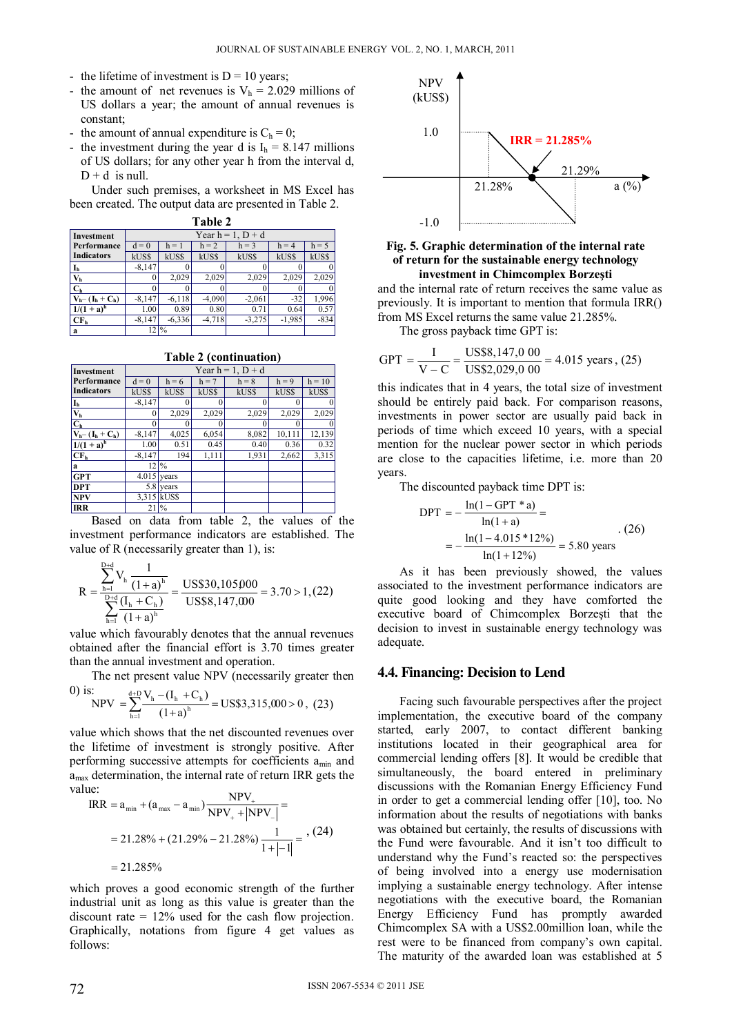- the lifetime of investment is  $D = 10$  years:
- the amount of net revenues is  $V<sub>h</sub> = 2.029$  millions of US dollars a year; the amount of annual revenues is constant;
- the amount of annual expenditure is  $C_h = 0$ ;
- the investment during the year d is  $I_h = 8.147$  millions of US dollars; for any other year h from the interval d,  $D + d$  is null.

Under such premises, a worksheet in MS Excel has been created. The output data are presented in Table 2.

|  | ۰. |  |
|--|----|--|
|  |    |  |

| Investment              | Year $h = 1$ , $D + d$ |              |          |          |          |              |
|-------------------------|------------------------|--------------|----------|----------|----------|--------------|
| Performance             | $d = 0$                | $h = 1$      | $h = 2$  | $h = 3$  | $h = 4$  | $h = 5$      |
| <b>Indicators</b>       | kUS\$                  | kUS\$        | kUS\$    | kUS\$    | kUS\$    | kUS\$        |
|                         | $-8,147$               |              |          |          |          | 0            |
| $\mathbf{V}_\mathbf{h}$ |                        | 2,029        | 2,029    | 2,029    | 2,029    | 2,029        |
| C <sub>h</sub>          |                        |              |          |          |          | $\mathbf{0}$ |
| $V_{h}-(I_{h}+C_{h})$   | $-8,147$               | $-6,118$     | $-4,090$ | $-2,061$ | $-32$    | 1,996        |
| $1/(1 + a)^h$           | 1.00                   | 0.89         | 0.80     | 0.71     | 0.64     | 0.57         |
| CF <sub>h</sub>         | $-8.147$               | $-6,336$     | $-4,718$ | $-3,275$ | $-1,985$ | $-834$       |
| a                       | 2                      | $^{10}/_{0}$ |          |          |          |              |

**Table 2 (continuation)** 

| $1$ apic $2 \sqrt{2}$ (continuation) |                        |                 |         |              |         |              |
|--------------------------------------|------------------------|-----------------|---------|--------------|---------|--------------|
| Investment                           | Year $h = 1$ , $D + d$ |                 |         |              |         |              |
| Performance                          | $d = 0$                | $h = 6$         | $h = 7$ | $h = 8$      | $h = 9$ | $h = 10$     |
| <b>Indicators</b>                    | kUS\$                  | kUS\$           | kUS\$   | <b>kUS\$</b> | kUS\$   | kUS\$        |
| $I_h$                                | $-8,147$               | 0               |         |              |         | 0            |
| $\overline{V_h}$                     | $_{0}$                 | 2,029           | 2,029   | 2,029        | 2,029   | 2,029        |
| C <sub>h</sub>                       |                        | 0               |         |              | 0       | $\mathbf{0}$ |
| $V_h$ – $(I_h + C_h)$                | $-8,147$               | 4,025           | 6,054   | 8,082        | 10,111  | 12,139       |
| $1/(1 + a)^{h}$                      | 1.00                   | 0.51            | 0.45    | 0.40         | 0.36    | 0.32         |
| CF <sub>h</sub>                      | $-8,147$               | 194             | 1,111   | 1,931        | 2,662   | 3,315        |
| a                                    |                        | $12\frac{9}{6}$ |         |              |         |              |
| <b>GPT</b>                           |                        | $4.015$ years   |         |              |         |              |
| <b>DPT</b>                           |                        | 5.8 years       |         |              |         |              |
| <b>NPV</b>                           |                        | 3,315 kUS\$     |         |              |         |              |
| <b>IRR</b>                           |                        | $21\frac{9}{6}$ |         |              |         |              |

Based on data from table 2, the values of the investment performance indicators are established. The value of R (necessarily greater than 1), is:

$$
R = \frac{\sum_{h=1}^{D+d} V_h \frac{1}{(1+a)^h}}{\sum_{h=1}^{D+d} \frac{(I_h + C_h)}{(1+a)^h}} = \frac{USS30,105000}{USS8,147,000} = 3.70 > 1, (22)
$$

value which favourably denotes that the annual revenues obtained after the financial effort is 3.70 times greater than the annual investment and operation.

The net present value NPV (necessarily greater then  $\Omega$  is:

$$
\text{NPV} = \sum_{h=1}^{\text{d}+D} \frac{V_h - (I_h + C_h)}{(1+a)^h} = \text{USS3,315,000} > 0 \,, \tag{23}
$$

value which shows that the net discounted revenues over the lifetime of investment is strongly positive. After performing successive attempts for coefficients  $a_{min}$  and amax determination, the internal rate of return IRR gets the value:

$$
IRR = a_{min} + (a_{max} - a_{min}) \frac{NPV_{+}}{NPV_{+} + |NPV_{-}|} =
$$
  
= 21.28% + (21.29% - 21.28%)  $\frac{1}{1 + |-1|}$  = <sup>3</sup>, (24)  
= 21.285%

which proves a good economic strength of the further industrial unit as long as this value is greater than the discount rate  $= 12\%$  used for the cash flow projection. Graphically, notations from figure 4 get values as follows:



### **Fig. 5. Graphic determination of the internal rate of return for the sustainable energy technology investment in Chimcomplex Borzeşti**

and the internal rate of return receives the same value as previously. It is important to mention that formula IRR() from MS Excel returns the same value 21.285%.

The gross payback time GPT is:

$$
GPT = \frac{I}{V - C} = \frac{USS8,147,000}{USS2,029,000} = 4.015 \text{ years}, (25)
$$

this indicates that in 4 years, the total size of investment should be entirely paid back. For comparison reasons, investments in power sector are usually paid back in periods of time which exceed 10 years, with a special mention for the nuclear power sector in which periods are close to the capacities lifetime, i.e. more than 20 years.

The discounted payback time DPT is:

$$
DPT = -\frac{\ln(1 - GPT^*a)}{\ln(1 + a)} =
$$
  
=  $-\frac{\ln(1 - 4.015^*12\%)}{\ln(1 + 12\%)} = 5.80$  years (26)

As it has been previously showed, the values associated to the investment performance indicators are quite good looking and they have comforted the executive board of Chimcomplex Borzeşti that the decision to invest in sustainable energy technology was adequate.

### **4.4. Financing: Decision to Lend**

Facing such favourable perspectives after the project implementation, the executive board of the company started, early 2007, to contact different banking institutions located in their geographical area for commercial lending offers [8]. It would be credible that simultaneously, the board entered in preliminary discussions with the Romanian Energy Efficiency Fund in order to get a commercial lending offer [10], too. No information about the results of negotiations with banks was obtained but certainly, the results of discussions with the Fund were favourable. And it isn't too difficult to understand why the Fund's reacted so: the perspectives of being involved into a energy use modernisation implying a sustainable energy technology. After intense negotiations with the executive board, the Romanian Energy Efficiency Fund has promptly awarded Chimcomplex SA with a US\$2.00million loan, while the rest were to be financed from company's own capital. The maturity of the awarded loan was established at 5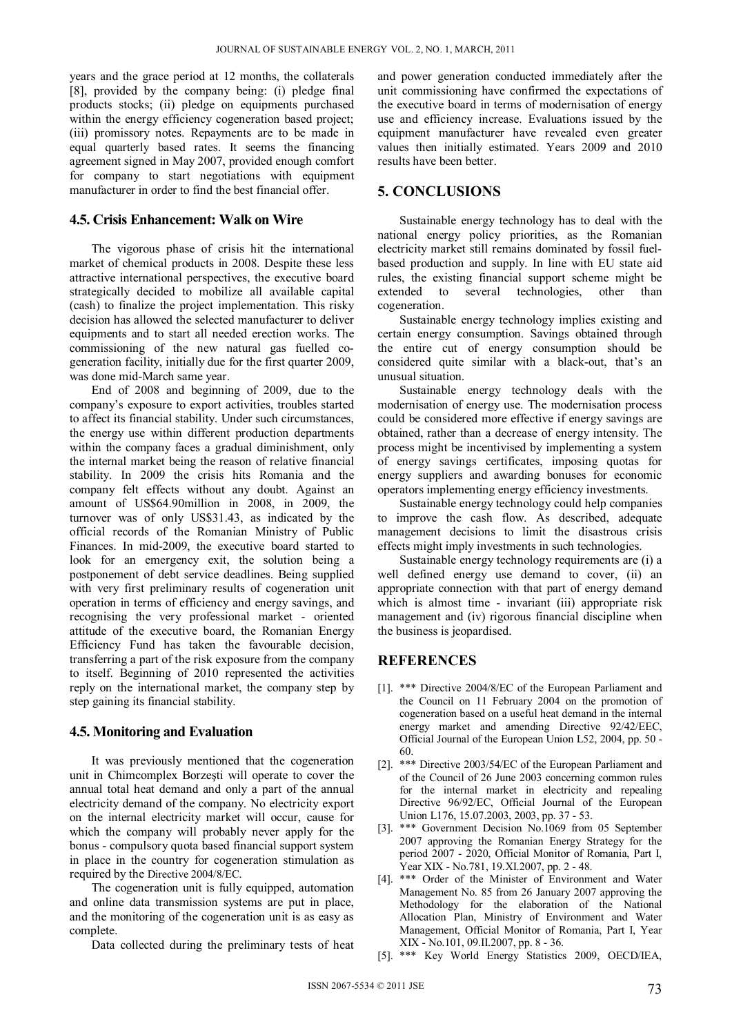years and the grace period at 12 months, the collaterals [8], provided by the company being: (i) pledge final products stocks; (ii) pledge on equipments purchased within the energy efficiency cogeneration based project; (iii) promissory notes. Repayments are to be made in equal quarterly based rates. It seems the financing agreement signed in May 2007, provided enough comfort for company to start negotiations with equipment manufacturer in order to find the best financial offer.

### **4.5. Crisis Enhancement: Walk on Wire**

The vigorous phase of crisis hit the international market of chemical products in 2008. Despite these less attractive international perspectives, the executive board strategically decided to mobilize all available capital (cash) to finalize the project implementation. This risky decision has allowed the selected manufacturer to deliver equipments and to start all needed erection works. The commissioning of the new natural gas fuelled cogeneration facility, initially due for the first quarter 2009, was done mid-March same year.

End of 2008 and beginning of 2009, due to the company's exposure to export activities, troubles started to affect its financial stability. Under such circumstances, the energy use within different production departments within the company faces a gradual diminishment, only the internal market being the reason of relative financial stability. In 2009 the crisis hits Romania and the company felt effects without any doubt. Against an amount of US\$64.90million in 2008, in 2009, the turnover was of only US\$31.43, as indicated by the official records of the Romanian Ministry of Public Finances. In mid-2009, the executive board started to look for an emergency exit, the solution being a postponement of debt service deadlines. Being supplied with very first preliminary results of cogeneration unit operation in terms of efficiency and energy savings, and recognising the very professional market - oriented attitude of the executive board, the Romanian Energy Efficiency Fund has taken the favourable decision, transferring a part of the risk exposure from the company to itself. Beginning of 2010 represented the activities reply on the international market, the company step by step gaining its financial stability.

### **4.5. Monitoring and Evaluation**

It was previously mentioned that the cogeneration unit in Chimcomplex Borzeşti will operate to cover the annual total heat demand and only a part of the annual electricity demand of the company. No electricity export on the internal electricity market will occur, cause for which the company will probably never apply for the bonus - compulsory quota based financial support system in place in the country for cogeneration stimulation as required by the Directive 2004/8/EC.

The cogeneration unit is fully equipped, automation and online data transmission systems are put in place, and the monitoring of the cogeneration unit is as easy as complete.

Data collected during the preliminary tests of heat

and power generation conducted immediately after the unit commissioning have confirmed the expectations of the executive board in terms of modernisation of energy use and efficiency increase. Evaluations issued by the equipment manufacturer have revealed even greater values then initially estimated. Years 2009 and 2010 results have been better.

## **5. CONCLUSIONS**

Sustainable energy technology has to deal with the national energy policy priorities, as the Romanian electricity market still remains dominated by fossil fuelbased production and supply. In line with EU state aid rules, the existing financial support scheme might be extended to several technologies, other than cogeneration.

Sustainable energy technology implies existing and certain energy consumption. Savings obtained through the entire cut of energy consumption should be considered quite similar with a black-out, that's an unusual situation.

Sustainable energy technology deals with the modernisation of energy use. The modernisation process could be considered more effective if energy savings are obtained, rather than a decrease of energy intensity. The process might be incentivised by implementing a system of energy savings certificates, imposing quotas for energy suppliers and awarding bonuses for economic operators implementing energy efficiency investments.

Sustainable energy technology could help companies to improve the cash flow. As described, adequate management decisions to limit the disastrous crisis effects might imply investments in such technologies.

Sustainable energy technology requirements are (i) a well defined energy use demand to cover, (ii) an appropriate connection with that part of energy demand which is almost time - invariant (iii) appropriate risk management and (iv) rigorous financial discipline when the business is jeopardised.

# **REFERENCES**

- [1]. \*\*\* Directive 2004/8/EC of the European Parliament and the Council on 11 February 2004 on the promotion of cogeneration based on a useful heat demand in the internal energy market and amending Directive 92/42/EEC, Official Journal of the European Union L52, 2004, pp. 50 - 60.
- [2]. \*\*\* Directive 2003/54/EC of the European Parliament and of the Council of 26 June 2003 concerning common rules for the internal market in electricity and repealing Directive 96/92/EC, Official Journal of the European Union L176, 15.07.2003, 2003, pp. 37 - 53.
- [3]. \*\*\* Government Decision No.1069 from 05 September 2007 approving the Romanian Energy Strategy for the period 2007 - 2020, Official Monitor of Romania, Part I, Year XIX - No.781, 19.XI.2007, pp. 2 - 48.
- [4]. \*\*\* Order of the Minister of Environment and Water Management No. 85 from 26 January 2007 approving the Methodology for the elaboration of the National Allocation Plan, Ministry of Environment and Water Management, Official Monitor of Romania, Part I, Year XIX - No.101, 09.II.2007, pp. 8 - 36.
- [5]. \*\*\* Key World Energy Statistics 2009, OECD/IEA,